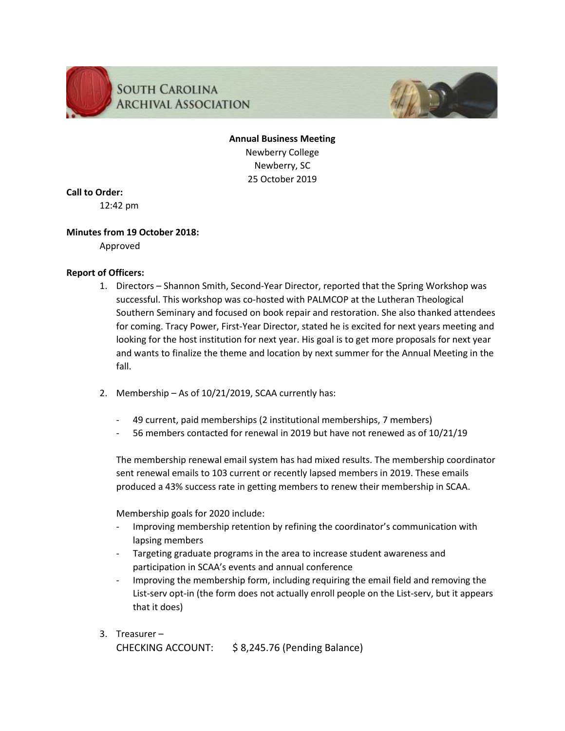

# **SOUTH CAROLINA ARCHIVAL ASSOCIATION**



**Annual Business Meeting** Newberry College Newberry, SC 25 October 2019

**Call to Order:**

12:42 pm

## **Minutes from 19 October 2018:**

Approved

## **Report of Officers:**

- 1. Directors Shannon Smith, Second-Year Director, reported that the Spring Workshop was successful. This workshop was co-hosted with PALMCOP at the Lutheran Theological Southern Seminary and focused on book repair and restoration. She also thanked attendees for coming. Tracy Power, First-Year Director, stated he is excited for next years meeting and looking for the host institution for next year. His goal is to get more proposals for next year and wants to finalize the theme and location by next summer for the Annual Meeting in the fall.
- 2. Membership As of 10/21/2019, SCAA currently has:
	- 49 current, paid memberships (2 institutional memberships, 7 members)
	- 56 members contacted for renewal in 2019 but have not renewed as of 10/21/19

The membership renewal email system has had mixed results. The membership coordinator sent renewal emails to 103 current or recently lapsed members in 2019. These emails produced a 43% success rate in getting members to renew their membership in SCAA.

Membership goals for 2020 include:

- Improving membership retention by refining the coordinator's communication with lapsing members
- Targeting graduate programs in the area to increase student awareness and participation in SCAA's events and annual conference
- Improving the membership form, including requiring the email field and removing the List-serv opt-in (the form does not actually enroll people on the List-serv, but it appears that it does)
- 3. Treasurer CHECKING ACCOUNT: \$ 8,245.76 (Pending Balance)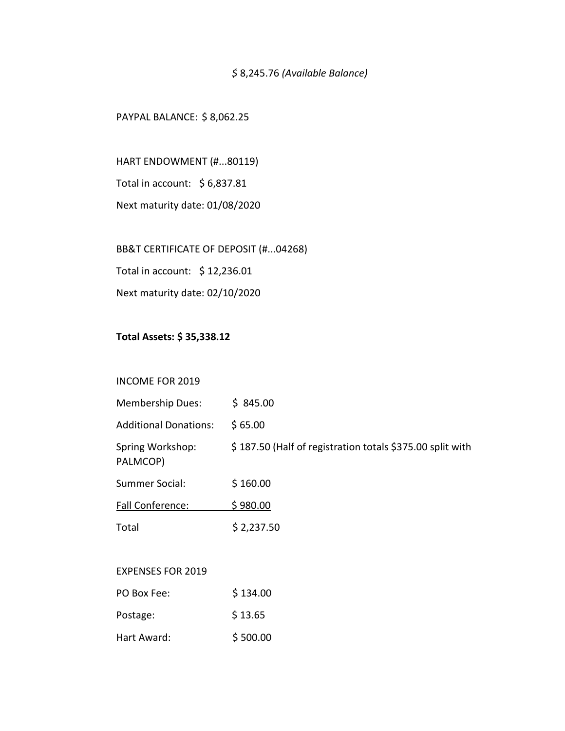# *\$* 8,245.76 *(Available Balance)*

#### PAYPAL BALANCE: \$ 8,062.25

HART ENDOWMENT (#...80119) Total in account: \$ 6,837.81

Next maturity date: 01/08/2020

BB&T CERTIFICATE OF DEPOSIT (#...04268)

Total in account: \$ 12,236.01

Next maturity date: 02/10/2020

# **Total Assets: \$ 35,338.12**

#### INCOME FOR 2019

| <b>Membership Dues:</b>      | \$845.00                                                  |
|------------------------------|-----------------------------------------------------------|
| <b>Additional Donations:</b> | \$65.00                                                   |
| Spring Workshop:<br>PALMCOP) | \$187.50 (Half of registration totals \$375.00 split with |
| Summer Social:               | \$160.00                                                  |
| <b>Fall Conference:</b>      | \$980.00                                                  |
| Total                        | \$2,237.50                                                |

## EXPENSES FOR 2019

| PO Box Fee: | \$134.00 |
|-------------|----------|
| Postage:    | \$13.65  |
| Hart Award: | \$500.00 |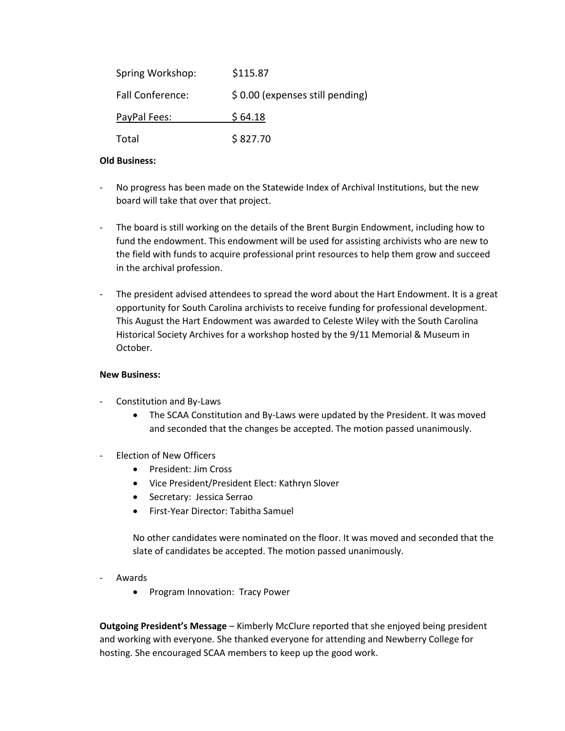| Spring Workshop: | \$115.87                        |
|------------------|---------------------------------|
| Fall Conference: | \$0.00 (expenses still pending) |
| PayPal Fees:     | \$64.18                         |
| Total            | \$827.70                        |

#### **Old Business:**

- No progress has been made on the Statewide Index of Archival Institutions, but the new board will take that over that project.
- The board is still working on the details of the Brent Burgin Endowment, including how to fund the endowment. This endowment will be used for assisting archivists who are new to the field with funds to acquire professional print resources to help them grow and succeed in the archival profession.
- The president advised attendees to spread the word about the Hart Endowment. It is a great opportunity for South Carolina archivists to receive funding for professional development. This August the Hart Endowment was awarded to Celeste Wiley with the South Carolina Historical Society Archives for a workshop hosted by the 9/11 Memorial & Museum in October.

#### **New Business:**

- Constitution and By-Laws
	- The SCAA Constitution and By-Laws were updated by the President. It was moved and seconded that the changes be accepted. The motion passed unanimously.
- Election of New Officers
	- President: Jim Cross
	- Vice President/President Elect: Kathryn Slover
	- **•** Secretary: Jessica Serrao
	- First-Year Director: Tabitha Samuel

No other candidates were nominated on the floor. It was moved and seconded that the slate of candidates be accepted. The motion passed unanimously.

- **Awards** 
	- Program Innovation: Tracy Power

**Outgoing President's Message** – Kimberly McClure reported that she enjoyed being president and working with everyone. She thanked everyone for attending and Newberry College for hosting. She encouraged SCAA members to keep up the good work.